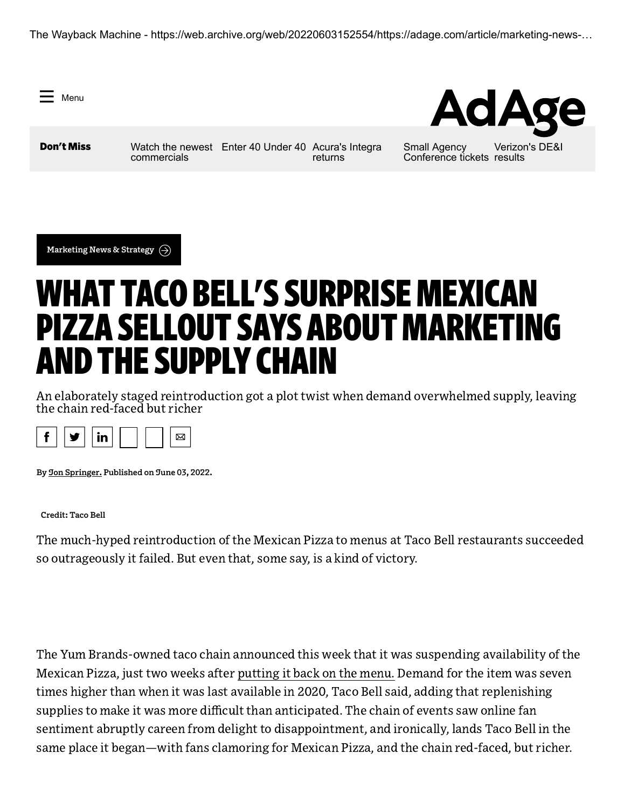The Wayback Machine - https://web.archive.org/web/20220603152554/https://adage.com/article/marketing-news-…

Menu

**AdAg** 

**Don't Miss** [Watch the newest](https://web.archive.org/web/20220603152554/https://adage.com/article/hot-spots/watch-newest-commercials-airbnb-dicks-irobot-and-more/2419126) [Enter 40 Under 40](https://web.archive.org/web/20220603152554/https://adage.com/article/special-report-40-under-40/ad-ages-40-under-40-2022-why-you-should-enter/2418596) [Acura's Integra](https://web.archive.org/web/20220603152554/https://adage.com/article/marketing-news-strategy/acura-taps-vince-staples-bring-back-integra/2419056) commercials

returns

Small Agency [Conference tickets](https://web.archive.org/web/20220603152554/https://adage.com/article/special-report-small-agency-conference-and-awards/live-event-independent-advertising-agencies-july-26-27-chicago/2417621) results [Verizon's DE&I](https://web.archive.org/web/20220603152554/https://adage.com/article/agency-news/verizon-reveals-dei-initiatives-first-year-results/2419106)

**[Marketing](https://web.archive.org/web/20220603152554/https://adage.com/section/marketing-news-strategy/319) News & Strategy**

# WHAT TACO BELL'S SURPRISEMEXICAN PIZZA SELLOUT SAYS ABOUT MARKETING AND THE SUPPLY CHAIN

An elaborately staged reintroduction got a plot twist when demand overwhelmed supply, leaving the chain red-faced but richer



**By Jon [Springer](https://web.archive.org/web/20220603152554/https://adage.com/author/jon-springer/2375851). Published on June 03, 2022.**

**Credit: Taco Bell**

The much-hyped reintroduction of the Mexican Pizza to menus at Taco Bell restaurants succeeded so outrageously it failed. But even that, some say, is a kind of victory.

The Yum Brands-owned taco chain announced this week that it was suspending availability of the Mexican Pizza, just two weeks after [putting](https://web.archive.org/web/20220603152554/https://adage.com/creativity/work/taco-bell-musical-stars-dolly-parton-and-doja-cat/2416606) it back on the menu. Demand for the item was seven times higher than when it was last available in 2020, Taco Bell said, adding that replenishing supplies to make it was more difficult than anticipated. The chain of events saw online fan sentiment abruptly careen from delight to disappointment, and ironically, lands Taco Bell in the same place it began—with fans clamoring for Mexican Pizza, and the chain red-faced, but richer.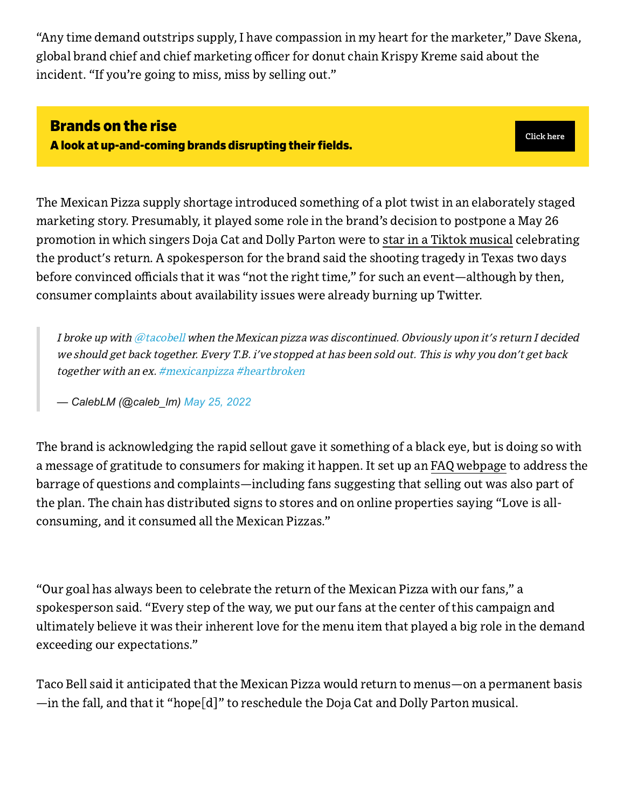"Any time demand outstrips supply, I have compassion in my heart for the marketer," Dave Skena, global brand chief and chief marketing officer for donut chain Krispy Kreme said about the incident. "If you're going to miss, miss by selling out."

## Brands on the rise

A look at up-and-coming brands disrupting their fields.

**[Click](https://web.archive.org/web/20220603152554/https://adage.com/tag/rising-challenger-brands/158536) here**

The Mexican Pizza supply shortage introduced something of a plot twist in an elaborately staged marketing story. Presumably, it played some role in the brand's decision to postpone a May 26 promotion in which singers Doja Cat and Dolly Parton were to star in a Tiktok [musical](https://web.archive.org/web/20220603152554/https://adage.com/creativity/work/taco-bell-musical-stars-dolly-parton-and-doja-cat/2416606) celebrating the product's return. A spokesperson for the brand said the shooting tragedy in Texas two days before convinced officials that it was "not the right time," for such an event—although by then, consumer complaints about availability issues were already burning up Twitter.

I broke up with [@tacobell](https://web.archive.org/web/20220603152554/https://twitter.com/tacobell?ref_src=twsrc%5Etfw) when the Mexican pizza was discontinued. Obviously upon it's return I decided we should get back together. Every T.B. i've stopped at has been sold out. This is why you don't get back together with an ex. [#mexicanpizza](https://web.archive.org/web/20220603152554/https://twitter.com/hashtag/mexicanpizza?src=hash&ref_src=twsrc%5Etfw) [#heartbroken](https://web.archive.org/web/20220603152554/https://twitter.com/hashtag/heartbroken?src=hash&ref_src=twsrc%5Etfw)

*— CalebLM (@caleb\_lm) [May 25, 2022](https://web.archive.org/web/20220603152554/https://twitter.com/caleb_lm/status/1529597349273686017?ref_src=twsrc%5Etfw)*

The brand is acknowledging the rapid sellout gave it something of a black eye, but is doing so with a message of gratitude to consumers for making it happen. It set up an FAQ [webpage](https://web.archive.org/web/20220603152554/https://www.tacobell.com/faq/mexican-pizza) to address the barrage of questions and complaints—including fans suggesting that selling out was also part of the plan. The chain has distributed signs to stores and on online properties saying "Love is allconsuming, and it consumed all the Mexican Pizzas."

"Our goal has always been to celebrate the return of the Mexican Pizza with our fans," a spokesperson said. "Every step of the way, we put our fans at the center of this campaign and ultimately believe it was their inherent love for the menu item that played a big role in the demand exceeding our expectations."

Taco Bell said it anticipated that the Mexican Pizza would return to menus—on a permanent basis —in the fall, and that it "hope[d]" to reschedule the Doja Cat and Dolly Parton musical.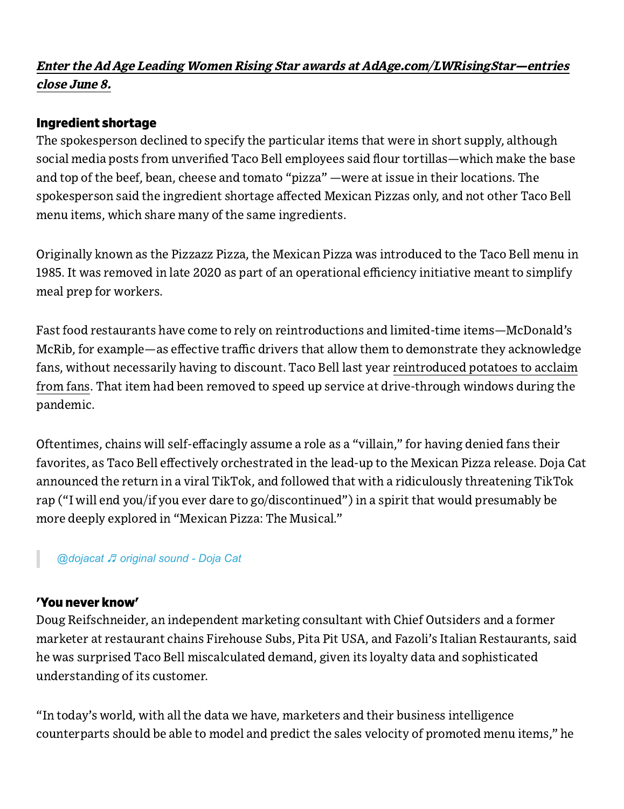### Enter the Ad Age Leading Women Rising Star awards at [AdAge.com/LWRisingStar—entries](https://web.archive.org/web/20220603152554/https://adagein-depth-tvpivot.splashthat.com/) close June 8.

### Ingredient shortage

The spokesperson declined to specify the particular items that were in short supply, although social media posts from unverified Taco Bell employees said flour tortillas—which make the base and top of the beef, bean, cheese and tomato "pizza" —were at issue in their locations. The spokesperson said the ingredient shortage affected Mexican Pizzas only, and not other Taco Bell menu items, which share many of the same ingredients.

Originally known as the Pizzazz Pizza, the Mexican Pizza was introduced to the Taco Bell menu in 1985. It was removed in late 2020 as part of an operational efficiency initiative meant to simplify meal prep for workers.

Fast food restaurants have come to rely on reintroductions and limited-time items—McDonald's McRib, for example—as effective traffic drivers that allow them to demonstrate they acknowledge fans, without necessarily having to discount. Taco Bell last year reintroduced potatoes to acclaim from fans. That item had been removed to speed up service at [drive-through](https://web.archive.org/web/20220603152554/https://adage.com/article/cmo-strategy/taco-bell-bringing-back-potatoes-giving-fans-internet-reason-rejoice/2306101) windows during the pandemic.

Oftentimes, chains will self-effacingly assume a role as a "villain," for having denied fans their favorites, as Taco Bell effectively orchestrated in the lead-up to the Mexican Pizza release. Doja Cat announced the return in a viral TikTok, and followed that with a ridiculously threatening TikTok rap ("I will end you/if you ever dare to go/discontinued") in a spirit that would presumably be more deeply explored in "Mexican Pizza: The Musical."

### *[@dojacat](https://web.archive.org/web/20220603152554/https://www.tiktok.com/@dojacat)* ♬ *[original sound - Doja Cat](https://web.archive.org/web/20220603152554/https://www.tiktok.com/music/original-sound-7072988613214210862)*

### 'You never know'

Doug Reifschneider, an independent marketing consultant with Chief Outsiders and a former marketer at restaurant chains Firehouse Subs, Pita Pit USA, and Fazoli's Italian Restaurants, said he was surprised Taco Bell miscalculated demand, given its loyalty data and sophisticated understanding of its customer.

"In today's world, with all the data we have, marketers and their business intelligence counterparts should be able to model and predict the sales velocity of promoted menu items," he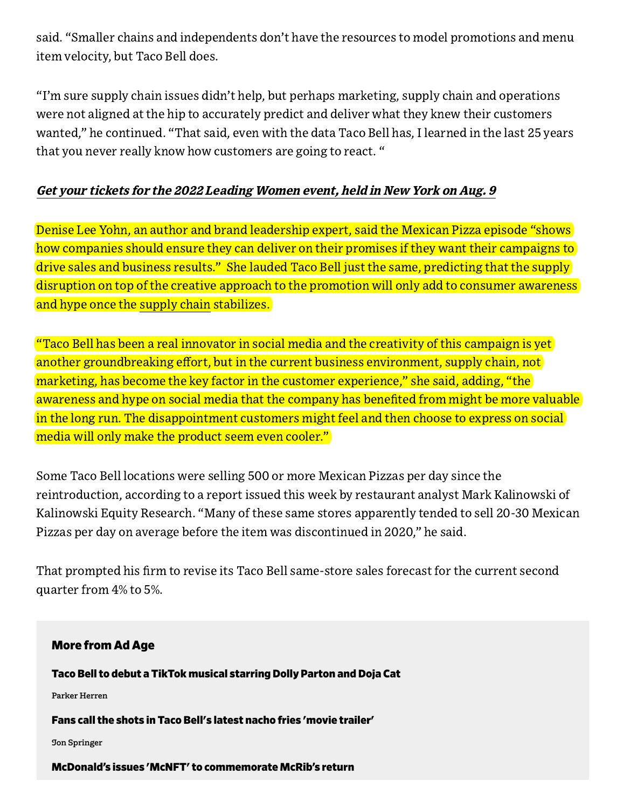said. "Smaller chains and independents don't have the resources to model promotions and menu item velocity, but Taco Bell does.

"I'm sure supply chain issues didn't help, but perhaps marketing, supply chain and operations were not aligned at the hip to accurately predict and deliver what they knew their customers wanted," he continued. "That said, even with the data Taco Bell has, I learned in the last 25 years that you never really know how customers are going to react. "

### Get your tickets for the 2022 [Leading](https://web.archive.org/web/20220603152554/https://www.adageevents.com/event/bbf6b556-4de4-45e9-af65-30b7e419ac47/summary) Women event, held in New York on Aug. 9

Denise Lee Yohn, an author and brand leadership expert, said the Mexican Pizza episode "shows how companies should ensure they can deliver on their promises if they want their campaigns to drive sales and business results." She lauded Taco Bell just the same, predicting that the supply disruption on top of the creative approach to the promotion will only add to consumer awareness and hype once the [supply](https://web.archive.org/web/20220603152554/https://adage.com/tag/supply-chain/150166) chain stabilizes.

 $\,$  "Taco Bell has been a real innovator in social media and the creativity of this campaign is yet  $\,$ another groundbreaking effort, but in the current business environment, supply chain, not marketing, has become the key factor in the customer experience," she said, adding, "the awareness and hype on social media that the company has benefited from might be more valuable in the long run. The disappointment customers might feel and then choose to express on social media will only make the product seem even cooler."

Some Taco Bell locations were selling 500 or more Mexican Pizzas per day since the reintroduction, according to a report issued this week by restaurant analyst Mark Kalinowski of Kalinowski Equity Research. "Many of these same stores apparently tended to sell 20-30 Mexican Pizzas per day on average before the item was discontinued in 2020," he said.

That prompted his firm to revise its Taco Bell same-store sales forecast for the current second quarter from 4% to 5%.

#### More from Ad Age

Taco Bell to debut a TikTok musical starring Dolly Parton and Doja Cat

**Parker [Herren](https://web.archive.org/web/20220603152554/https://adage.com/author/parker-herren/2341751)**

Fans call the shots in Taco Bell's latest nacho fries 'movie [trailer'](https://web.archive.org/web/20220603152554/https://adage.com/article/marketing-news-strategy/fans-call-shots-taco-bells-latest-nacho-fries-movie-trailer/2404436)

**Jon [Springer](https://web.archive.org/web/20220603152554/https://adage.com/author/jon-springer/2375851)**

McDonald's issues 'McNFT' to [commemorate](https://web.archive.org/web/20220603152554/https://adage.com/article/marketing-news-strategy/mcdonalds-gets-inito-nft-game-mcrib/2376996) McRib's return